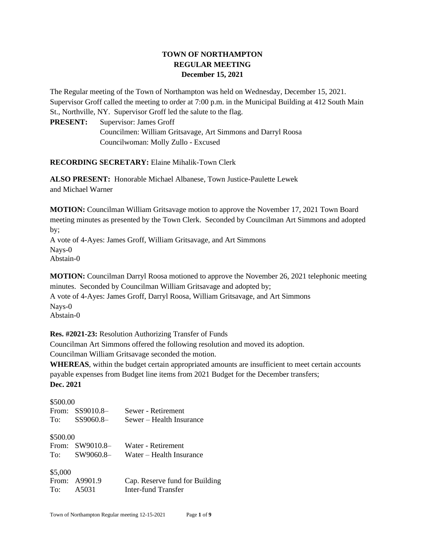# **TOWN OF NORTHAMPTON REGULAR MEETING December 15, 2021**

The Regular meeting of the Town of Northampton was held on Wednesday, December 15, 2021. Supervisor Groff called the meeting to order at 7:00 p.m. in the Municipal Building at 412 South Main St., Northville, NY. Supervisor Groff led the salute to the flag.

**PRESENT:** Supervisor: James Groff Councilmen: William Gritsavage, Art Simmons and Darryl Roosa Councilwoman: Molly Zullo - Excused

**RECORDING SECRETARY:** Elaine Mihalik-Town Clerk

**ALSO PRESENT:** Honorable Michael Albanese, Town Justice-Paulette Lewek and Michael Warner

**MOTION:** Councilman William Gritsavage motion to approve the November 17, 2021 Town Board meeting minutes as presented by the Town Clerk. Seconded by Councilman Art Simmons and adopted by;

A vote of 4-Ayes: James Groff, William Gritsavage, and Art Simmons Nays-0 Abstain-0

**MOTION:** Councilman Darryl Roosa motioned to approve the November 26, 2021 telephonic meeting minutes. Seconded by Councilman William Gritsavage and adopted by; A vote of 4-Ayes: James Groff, Darryl Roosa, William Gritsavage, and Art Simmons Nays-0 Abstain-0

**Res. #2021-23:** Resolution Authorizing Transfer of Funds

Councilman Art Simmons offered the following resolution and moved its adoption.

Councilman William Gritsavage seconded the motion.

**WHEREAS**, within the budget certain appropriated amounts are insufficient to meet certain accounts payable expenses from Budget line items from 2021 Budget for the December transfers;

**Dec. 2021**

\$500.00

| www.vv   |                 |                                |
|----------|-----------------|--------------------------------|
|          | From: SS9010.8- | Sewer - Retirement             |
|          | To: SS9060.8-   | Sewer – Health Insurance       |
|          |                 |                                |
| \$500.00 |                 |                                |
|          | From: SW9010.8- | Water - Retirement             |
|          | To: SW9060.8-   | Water – Health Insurance       |
|          |                 |                                |
| \$5,000  |                 |                                |
|          | From: A9901.9   | Cap. Reserve fund for Building |
|          | To: A5031       | Inter-fund Transfer            |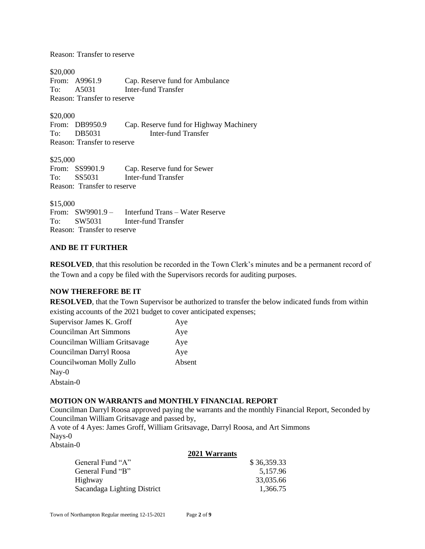Reason: Transfer to reserve

\$20,000<br>From: A9961.9 Cap. Reserve fund for Ambulance To: A5031 Inter-fund Transfer Reason: Transfer to reserve

\$20,000

From: DB9950.9 Cap. Reserve fund for Highway Machinery To: DB5031 Inter-fund Transfer Reason: Transfer to reserve

\$25,000 From: SS9901.9 Cap. Reserve fund for Sewer To: SS5031 Inter-fund Transfer Reason: Transfer to reserve

\$15,000

From: SW9901.9 – Interfund Trans – Water Reserve To: SW5031 Inter-fund Transfer Reason: Transfer to reserve

## **AND BE IT FURTHER**

**RESOLVED**, that this resolution be recorded in the Town Clerk's minutes and be a permanent record of the Town and a copy be filed with the Supervisors records for auditing purposes.

## **NOW THEREFORE BE IT**

**RESOLVED**, that the Town Supervisor be authorized to transfer the below indicated funds from within existing accounts of the 2021 budget to cover anticipated expenses;

| Supervisor James K. Groff     | Aye    |
|-------------------------------|--------|
| Councilman Art Simmons        | Aye    |
| Councilman William Gritsavage | Aye    |
| Councilman Darryl Roosa       | Aye    |
| Councilwoman Molly Zullo      | Absent |
| $\text{Nay-0}$                |        |
| Abstain-0                     |        |

## **MOTION ON WARRANTS and MONTHLY FINANCIAL REPORT**

Councilman Darryl Roosa approved paying the warrants and the monthly Financial Report, Seconded by Councilman William Gritsavage and passed by,

A vote of 4 Ayes: James Groff, William Gritsavage, Darryl Roosa, and Art Simmons Nays-0

Abstain-0

#### **2021 Warrants**

| General Fund "A"            | \$36,359.33 |
|-----------------------------|-------------|
| General Fund "B"            | 5,157.96    |
| Highway                     | 33,035.66   |
| Sacandaga Lighting District | 1.366.75    |
|                             |             |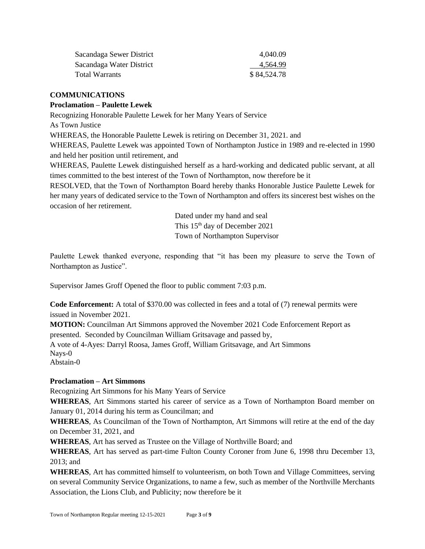| Sacandaga Sewer District | 4.040.09    |
|--------------------------|-------------|
| Sacandaga Water District | 4,564.99    |
| Total Warrants           | \$84,524.78 |

## **COMMUNICATIONS**

## **Proclamation – Paulette Lewek**

Recognizing Honorable Paulette Lewek for her Many Years of Service

As Town Justice

WHEREAS, the Honorable Paulette Lewek is retiring on December 31, 2021. and

WHEREAS, Paulette Lewek was appointed Town of Northampton Justice in 1989 and re-elected in 1990 and held her position until retirement, and

WHEREAS, Paulette Lewek distinguished herself as a hard-working and dedicated public servant, at all times committed to the best interest of the Town of Northampton, now therefore be it

RESOLVED, that the Town of Northampton Board hereby thanks Honorable Justice Paulette Lewek for her many years of dedicated service to the Town of Northampton and offers its sincerest best wishes on the occasion of her retirement.

> Dated under my hand and seal This 15th day of December 2021 Town of Northampton Supervisor

Paulette Lewek thanked everyone, responding that "it has been my pleasure to serve the Town of Northampton as Justice".

Supervisor James Groff Opened the floor to public comment 7:03 p.m.

**Code Enforcement:** A total of \$370.00 was collected in fees and a total of (7) renewal permits were issued in November 2021.

**MOTION:** Councilman Art Simmons approved the November 2021 Code Enforcement Report as presented. Seconded by Councilman William Gritsavage and passed by,

A vote of 4-Ayes: Darryl Roosa, James Groff, William Gritsavage, and Art Simmons Nays-0 Abstain-0

## **Proclamation – Art Simmons**

Recognizing Art Simmons for his Many Years of Service

**WHEREAS**, Art Simmons started his career of service as a Town of Northampton Board member on January 01, 2014 during his term as Councilman; and

**WHEREAS**, As Councilman of the Town of Northampton, Art Simmons will retire at the end of the day on December 31, 2021, and

**WHEREAS**, Art has served as Trustee on the Village of Northville Board; and

**WHEREAS**, Art has served as part-time Fulton County Coroner from June 6, 1998 thru December 13, 2013; and

**WHEREAS**, Art has committed himself to volunteerism, on both Town and Village Committees, serving on several Community Service Organizations, to name a few, such as member of the Northville Merchants Association, the Lions Club, and Publicity; now therefore be it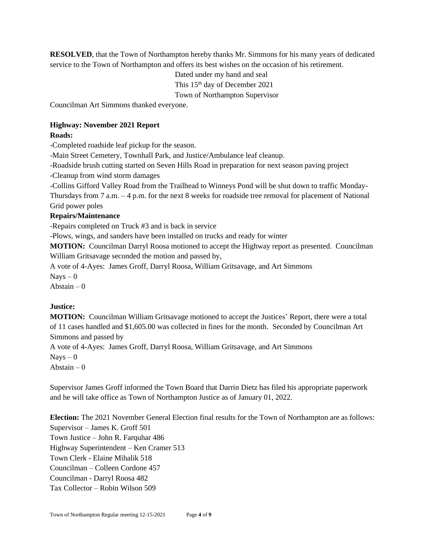**RESOLVED**, that the Town of Northampton hereby thanks Mr. Simmons for his many years of dedicated service to the Town of Northampton and offers its best wishes on the occasion of his retirement.

> Dated under my hand and seal This 15<sup>th</sup> day of December 2021 Town of Northampton Supervisor

Councilman Art Simmons thanked everyone.

# **Highway: November 2021 Report**

## **Roads:**

-Completed roadside leaf pickup for the season.

-Main Street Cemetery, Townhall Park, and Justice/Ambulance leaf cleanup.

-Roadside brush cutting started on Seven Hills Road in preparation for next season paving project

-Cleanup from wind storm damages

-Collins Gifford Valley Road from the Trailhead to Winneys Pond will be shut down to traffic Monday-Thursdays from 7 a.m. – 4 p.m. for the next 8 weeks for roadside tree removal for placement of National Grid power poles

# **Repairs/Maintenance**

-Repairs completed on Truck #3 and is back in service

-Plows, wings, and sanders have been installed on trucks and ready for winter

**MOTION:** Councilman Darryl Roosa motioned to accept the Highway report as presented. Councilman William Gritsavage seconded the motion and passed by,

A vote of 4-Ayes: James Groff, Darryl Roosa, William Gritsavage, and Art Simmons

 $N$ ays  $-0$ 

Abstain  $-0$ 

## **Justice:**

**MOTION:** Councilman William Gritsavage motioned to accept the Justices' Report, there were a total of 11 cases handled and \$1,605.00 was collected in fines for the month. Seconded by Councilman Art Simmons and passed by

A vote of 4-Ayes: James Groff, Darryl Roosa, William Gritsavage, and Art Simmons

 $N$ avs  $-0$ 

Abstain  $-0$ 

Supervisor James Groff informed the Town Board that Darrin Dietz has filed his appropriate paperwork and he will take office as Town of Northampton Justice as of January 01, 2022.

**Election:** The 2021 November General Election final results for the Town of Northampton are as follows: Supervisor – James K. Groff 501 Town Justice – John R. Farquhar 486 Highway Superintendent – Ken Cramer 513 Town Clerk - Elaine Mihalik 518 Councilman – Colleen Cordone 457 Councilman - Darryl Roosa 482 Tax Collector – Robin Wilson 509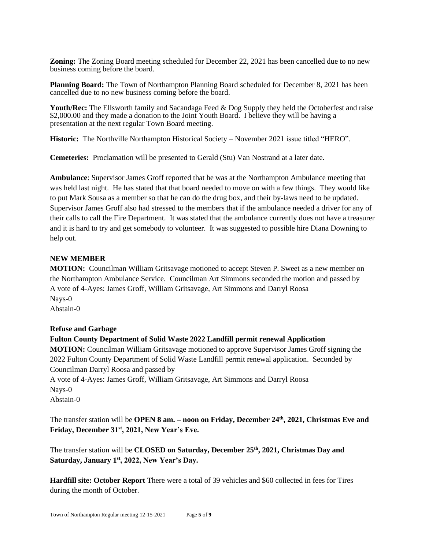**Zoning:** The Zoning Board meeting scheduled for December 22, 2021 has been cancelled due to no new business coming before the board.

**Planning Board:** The Town of Northampton Planning Board scheduled for December 8, 2021 has been cancelled due to no new business coming before the board.

Youth/Rec: The Ellsworth family and Sacandaga Feed & Dog Supply they held the Octoberfest and raise \$2,000.00 and they made a donation to the Joint Youth Board. I believe they will be having a presentation at the next regular Town Board meeting.

**Historic:** The Northville Northampton Historical Society – November 2021 issue titled "HERO".

**Cemeteries:** Proclamation will be presented to Gerald (Stu) Van Nostrand at a later date.

**Ambulance**: Supervisor James Groff reported that he was at the Northampton Ambulance meeting that was held last night. He has stated that that board needed to move on with a few things. They would like to put Mark Sousa as a member so that he can do the drug box, and their by-laws need to be updated. Supervisor James Groff also had stressed to the members that if the ambulance needed a driver for any of their calls to call the Fire Department. It was stated that the ambulance currently does not have a treasurer and it is hard to try and get somebody to volunteer. It was suggested to possible hire Diana Downing to help out.

### **NEW MEMBER**

**MOTION:** Councilman William Gritsavage motioned to accept Steven P. Sweet as a new member on the Northampton Ambulance Service. Councilman Art Simmons seconded the motion and passed by A vote of 4-Ayes: James Groff, William Gritsavage, Art Simmons and Darryl Roosa Nays-0 Abstain-0

#### **Refuse and Garbage**

**Fulton County Department of Solid Waste 2022 Landfill permit renewal Application MOTION:** Councilman William Gritsavage motioned to approve Supervisor James Groff signing the 2022 Fulton County Department of Solid Waste Landfill permit renewal application. Seconded by Councilman Darryl Roosa and passed by A vote of 4-Ayes: James Groff, William Gritsavage, Art Simmons and Darryl Roosa Nays-0 Abstain-0

The transfer station will be **OPEN 8 am. – noon on Friday, December 24th, 2021, Christmas Eve and Friday, December 31st, 2021, New Year's Eve.**

The transfer station will be **CLOSED on Saturday, December 25th, 2021, Christmas Day and Saturday, January 1st, 2022, New Year's Day.**

**Hardfill site: October Report** There were a total of 39 vehicles and \$60 collected in fees for Tires during the month of October.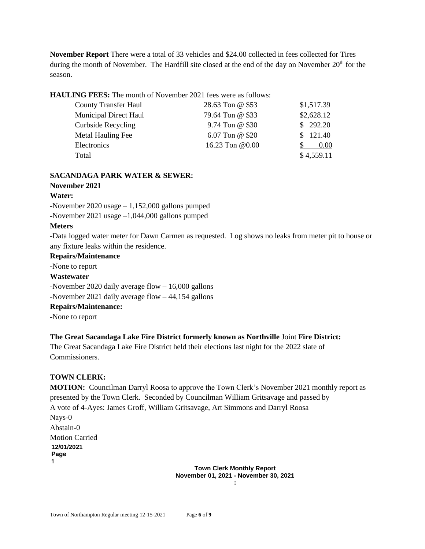**November Report** There were a total of 33 vehicles and \$24.00 collected in fees collected for Tires during the month of November. The Hardfill site closed at the end of the day on November 20<sup>th</sup> for the season.

**HAULING FEES:** The month of November 2021 fees were as follows:

| <b>County Transfer Haul</b>  | 28.63 Ton @ \$53 | \$1,517.39 |
|------------------------------|------------------|------------|
| <b>Municipal Direct Haul</b> | 79.64 Ton @ \$33 | \$2,628.12 |
| <b>Curbside Recycling</b>    | 9.74 Ton @ \$30  | \$292.20   |
| Metal Hauling Fee            | 6.07 Ton @ \$20  | \$121.40   |
| Electronics                  | 16.23 Ton @0.00  | 0.00       |
| Total                        |                  | \$4,559.11 |

### **SACANDAGA PARK WATER & SEWER:**

**November 2021**

### **Water:**

-November 2020 usage – 1,152,000 gallons pumped -November 2021 usage –1,044,000 gallons pumped

### **Meters**

-Data logged water meter for Dawn Carmen as requested. Log shows no leaks from meter pit to house or any fixture leaks within the residence.

# **Repairs/Maintenance**

-None to report

#### **Wastewater**

-November 2020 daily average flow – 16,000 gallons

-November 2021 daily average flow – 44,154 gallons

## **Repairs/Maintenance:**

-None to report

## **The Great Sacandaga Lake Fire District formerly known as Northville** Joint **Fire District:**

The Great Sacandaga Lake Fire District held their elections last night for the 2022 slate of Commissioners.

## **TOWN CLERK:**

**MOTION:** Councilman Darryl Roosa to approve the Town Clerk's November 2021 monthly report as presented by the Town Clerk. Seconded by Councilman William Gritsavage and passed by A vote of 4-Ayes: James Groff, William Gritsavage, Art Simmons and Darryl Roosa Nays-0 Abstain-0 Motion Carried **12/01/2021 Page 1**

**Town Clerk Monthly Report November 01, 2021 - November 30, 2021 :**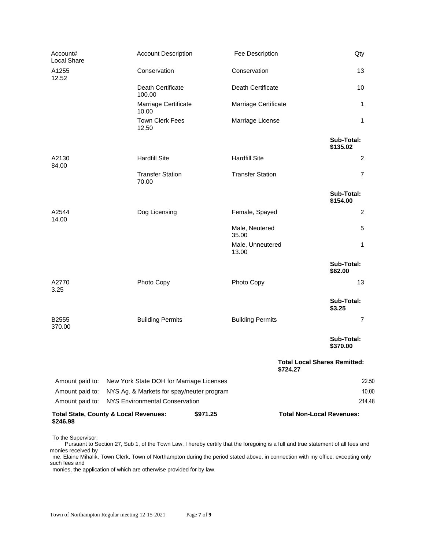| Account#<br>Local Share | <b>Account Description</b>                       | Fee Description           | Qty                                 |
|-------------------------|--------------------------------------------------|---------------------------|-------------------------------------|
| A1255<br>12.52          | Conservation                                     | Conservation              | 13                                  |
|                         | Death Certificate<br>100.00                      | Death Certificate         | 10                                  |
|                         | Marriage Certificate<br>10.00                    | Marriage Certificate      | 1                                   |
|                         | <b>Town Clerk Fees</b><br>12.50                  | Marriage License          | 1                                   |
|                         |                                                  |                           | Sub-Total:<br>\$135.02              |
| A2130<br>84.00          | <b>Hardfill Site</b>                             | <b>Hardfill Site</b>      | 2                                   |
|                         | <b>Transfer Station</b><br>70.00                 | <b>Transfer Station</b>   | $\overline{7}$                      |
|                         |                                                  |                           | Sub-Total:<br>\$154.00              |
| A2544<br>14.00          | Dog Licensing                                    | Female, Spayed            | $\overline{c}$                      |
|                         |                                                  | Male, Neutered<br>35.00   | 5                                   |
|                         |                                                  | Male, Unneutered<br>13.00 | 1                                   |
|                         |                                                  |                           | Sub-Total:<br>\$62.00               |
| A2770<br>3.25           | Photo Copy                                       | Photo Copy                | 13                                  |
|                         |                                                  |                           | Sub-Total:<br>\$3.25                |
| B2555<br>370.00         | <b>Building Permits</b>                          | <b>Building Permits</b>   | $\overline{7}$                      |
|                         |                                                  |                           | Sub-Total:<br>\$370.00              |
|                         |                                                  | \$724.27                  | <b>Total Local Shares Remitted:</b> |
| Amount paid to:         | New York State DOH for Marriage Licenses         |                           | 22.50                               |
| Amount paid to:         | NYS Ag. & Markets for spay/neuter program        |                           | 10.00                               |
| Amount paid to:         | NYS Environmental Conservation                   |                           | 214.48                              |
| \$246.98                | <b>Total State, County &amp; Local Revenues:</b> | \$971.25                  | <b>Total Non-Local Revenues:</b>    |

To the Supervisor:

 Pursuant to Section 27, Sub 1, of the Town Law, I hereby certify that the foregoing is a full and true statement of all fees and monies received by

me, Elaine Mihalik, Town Clerk, Town of Northampton during the period stated above, in connection with my office, excepting only such fees and

monies, the application of which are otherwise provided for by law.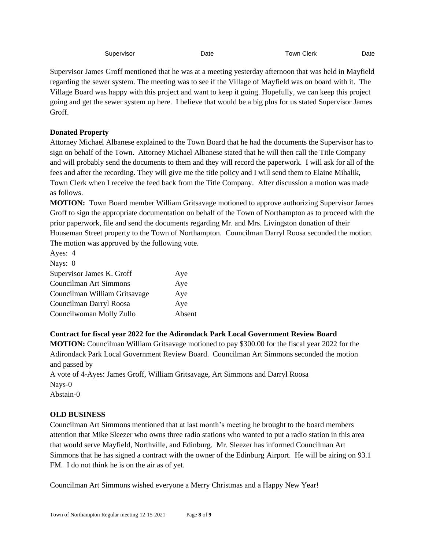| Supervisor<br>Town Clerk<br>Date | Date |
|----------------------------------|------|
|----------------------------------|------|

Supervisor James Groff mentioned that he was at a meeting yesterday afternoon that was held in Mayfield regarding the sewer system. The meeting was to see if the Village of Mayfield was on board with it. The Village Board was happy with this project and want to keep it going. Hopefully, we can keep this project going and get the sewer system up here. I believe that would be a big plus for us stated Supervisor James Groff.

# **Donated Property**

Attorney Michael Albanese explained to the Town Board that he had the documents the Supervisor has to sign on behalf of the Town. Attorney Michael Albanese stated that he will then call the Title Company and will probably send the documents to them and they will record the paperwork. I will ask for all of the fees and after the recording. They will give me the title policy and I will send them to Elaine Mihalik, Town Clerk when I receive the feed back from the Title Company. After discussion a motion was made as follows.

**MOTION:** Town Board member William Gritsavage motioned to approve authorizing Supervisor James Groff to sign the appropriate documentation on behalf of the Town of Northampton as to proceed with the prior paperwork, file and send the documents regarding Mr. and Mrs. Livingston donation of their Houseman Street property to the Town of Northampton. Councilman Darryl Roosa seconded the motion. The motion was approved by the following vote.

| Ayes: 4                       |        |
|-------------------------------|--------|
| Nays: 0                       |        |
| Supervisor James K. Groff     | Aye    |
| Councilman Art Simmons        | Aye    |
| Councilman William Gritsavage | Aye    |
| Councilman Darryl Roosa       | Aye    |
| Councilwoman Molly Zullo      | Absent |

# **Contract for fiscal year 2022 for the Adirondack Park Local Government Review Board**

**MOTION:** Councilman William Gritsavage motioned to pay \$300.00 for the fiscal year 2022 for the Adirondack Park Local Government Review Board. Councilman Art Simmons seconded the motion and passed by

A vote of 4-Ayes: James Groff, William Gritsavage, Art Simmons and Darryl Roosa Nays-0 Abstain-0

# **OLD BUSINESS**

Councilman Art Simmons mentioned that at last month's meeting he brought to the board members attention that Mike Sleezer who owns three radio stations who wanted to put a radio station in this area that would serve Mayfield, Northville, and Edinburg. Mr. Sleezer has informed Councilman Art Simmons that he has signed a contract with the owner of the Edinburg Airport. He will be airing on 93.1 FM. I do not think he is on the air as of yet.

Councilman Art Simmons wished everyone a Merry Christmas and a Happy New Year!